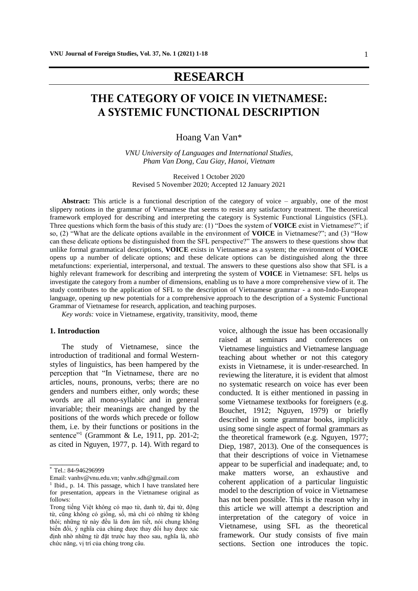## **RESEARCH**

# **THE CATEGORY OF VOICE IN VIETNAMESE: A SYSTEMIC FUNCTIONAL DESCRIPTION**

Hoang Van Van\*

*VNU University of Languages and International Studies, Pham Van Dong, Cau Giay, Hanoi, Vietnam*

Received 1 October 2020 Revised 5 November 2020; Accepted 12 January 2021

**Abstract:** This article is a functional description of the category of voice – arguably, one of the most slippery notions in the grammar of Vietnamese that seems to resist any satisfactory treatment. The theoretical framework employed for describing and interpreting the category is Systemic Functional Linguistics (SFL). Three questions which form the basis of this study are: (1) "Does the system of **VOICE** exist in Vietnamese?"; if so, (2) "What are the delicate options available in the environment of **VOICE** in Vietnamese?"; and (3) "How can these delicate options be distinguished from the SFL perspective?" The answers to these questions show that unlike formal grammatical descriptions, **VOICE** exists in Vietnamese as a system; the environment of **VOICE** opens up a number of delicate options; and these delicate options can be distinguished along the three metafunctions: experiential, interpersonal, and textual. The answers to these questions also show that SFL is a highly relevant framework for describing and interpreting the system of **VOICE** in Vietnamese: SFL helps us investigate the category from a number of dimensions, enabling us to have a more comprehensive view of it. The study contributes to the application of SFL to the description of Vietnamese grammar - a non-Indo-European language, opening up new potentials for a comprehensive approach to the description of a Systemic Functional Grammar of Vietnamese for research, application, and teaching purposes.

*Key words:* voice in Vietnamese, ergativity, transitivity, mood, theme

#### **1. Introduction\***

The study of Vietnamese, since the introduction of traditional and formal Westernstyles of linguistics, has been hampered by the perception that "In Vietnamese, there are no articles, nouns, pronouns, verbs; there are no genders and numbers either, only words; these words are all mono-syllabic and in general invariable; their meanings are changed by the positions of the words which precede or follow them, i.e. by their functions or positions in the sentence"<sup>1</sup> (Grammont & Le, 1911, pp. 201-2; as cited in Nguyen, 1977, p. 14). With regard to

 $\overline{\phantom{a}}$ 

Email: [vanhv@vnu.edu.vn;](mailto:vanhv@vnu.edu.vn) vanhv.sdh@gmail.com

voice, although the issue has been occasionally raised at seminars and conferences on Vietnamese linguistics and Vietnamese language teaching about whether or not this category exists in Vietnamese, it is under-researched. In reviewing the literature, it is evident that almost no systematic research on voice has ever been conducted. It is either mentioned in passing in some Vietnamese textbooks for foreigners (e.g. Bouchet, 1912; Nguyen, 1979) or briefly described in some grammar books, implicitly using some single aspect of formal grammars as the theoretical framework (e.g. Nguyen, 1977; Diep, 1987, 2013). One of the consequences is that their descriptions of voice in Vietnamese appear to be superficial and inadequate; and, to make matters worse, an exhaustive and coherent application of a particular linguistic model to the description of voice in Vietnamese has not been possible. This is the reason why in this article we will attempt a description and interpretation of the category of voice in Vietnamese, using SFL as the theoretical framework. Our study consists of five main sections. Section one introduces the topic.

<sup>\*</sup> Tel.: 84-946296999

<sup>&</sup>lt;sup>1</sup> Ibid., p. 14. This passage, which I have translated here for presentation, appears in the Vietnamese original as follows:

Trong tiếng Việt không có mạo từ, danh từ, đại từ, động từ, cũng không có giống, số, mà chỉ có những từ không thôi; những từ này đều là đơn âm tiết, nói chung không biến đổi, ý nghĩa của chúng được thay đổi hay được xác định nhờ những từ đặt trước hay theo sau, nghĩa là, nhờ chức năng, vị trí của chúng trong câu.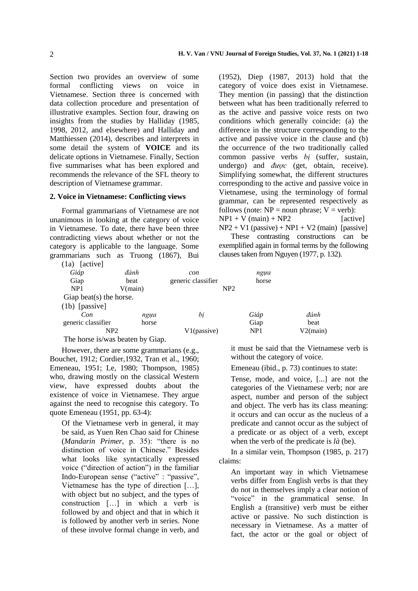Section two provides an overview of some formal conflicting views on voice in Vietnamese. Section three is concerned with data collection procedure and presentation of illustrative examples. Section four, drawing on insights from the studies by Halliday (1985, 1998, 2012, and elsewhere) and Halliday and Matthiessen (2014), describes and interprets in some detail the system of **VOICE** and its delicate options in Vietnamese. Finally, Section five summarises what has been explored and recommends the relevance of the SFL theory to description of Vietnamese grammar.

#### **2. Voice in Vietnamese: Conflicting views**

Formal grammarians of Vietnamese are not unanimous in looking at the category of voice in Vietnamese. To date, there have been three contradicting views about whether or not the category is applicable to the language. Some grammarians such as Truong (1867), Bui (1952), Diep (1987, 2013) hold that the category of voice does exist in Vietnamese. They mention (in passing) that the distinction between what has been traditionally referred to as the active and passive voice rests on two conditions which generally coincide: (a) the difference in the structure corresponding to the active and passive voice in the clause and (b) the occurrence of the two traditionally called common passive verbs *bị* (suffer, sustain, undergo) and *được* (get, obtain, receive). Simplifying somewhat, the different structures corresponding to the active and passive voice in Vietnamese, using the terminology of formal grammar, can be represented respectively as follows (note:  $NP = noun phrase$ ;  $V = verb$ ):  $NP1 + V (main) + NP2$  [active]  $NP2 + V1$  (passive) +  $NP1 + V2$  (main) [passive]

These contrasting constructions can be exemplified again in formal terms by the following clauses taken from Nguyen (1977, p. 132).

| [active]<br>(1a)                 |       |                    |                 |          |
|----------------------------------|-------|--------------------|-----------------|----------|
| Giáp                             | đánh  | con                | ngua            |          |
| Giap                             | beat  | generic classifier | horse           |          |
| NP <sub>1</sub><br>V(main)       |       |                    | NP2             |          |
| Giap beat(s) the horse.          |       |                    |                 |          |
| $(lb)$ [passive]                 |       |                    |                 |          |
| Con                              | ngua  | bi                 | Giáp            | đánh     |
| generic classifier               | horse |                    | Giap            | beat     |
| NP2                              |       | V1(passive)        | NP <sub>1</sub> | V2(main) |
| The horse is vise booten by Cion |       |                    |                 |          |

The horse is/was beaten by Giap.

However, there are some grammarians (e.g., Bouchet, 1912; Cordier,1932, Tran et al., 1960; Emeneau, 1951; Le, 1980; Thompson, 1985) who, drawing mostly on the classical Western view, have expressed doubts about the existence of voice in Vietnamese. They argue against the need to recognise this category. To quote Emeneau (1951, pp. 63-4):

Of the Vietnamese verb in general, it may be said, as Yuen Ren Chao said for Chinese (*Mandarin Primer*, p. 35): "there is no distinction of voice in Chinese." Besides what looks like syntactically expressed voice ("direction of action") in the familiar Indo-European sense ("active" : "passive", Vietnamese has the type of direction […], with object but no subject, and the types of construction […] in which a verb is followed by and object and that in which it is followed by another verb in series. None of these involve formal change in verb, and it must be said that the Vietnamese verb is without the category of voice.

Emeneau (ibid., p. 73) continues to state:

Tense, mode, and voice, [...] are not the categories of the Vietnamese verb; nor are aspect, number and person of the subject and object. The verb has its class meaning: it occurs and can occur as the nucleus of a predicate and cannot occur as the subject of a predicate or as object of a verb, except when the verb of the predicate is *là* (be).

In a similar vein, Thompson (1985, p. 217) claims:

An important way in which Vietnamese verbs differ from English verbs is that they do not in themselves imply a clear notion of "voice" in the grammatical sense. In English a (transitive) verb must be either active or passive. No such distinction is necessary in Vietnamese. As a matter of fact, the actor or the goal or object of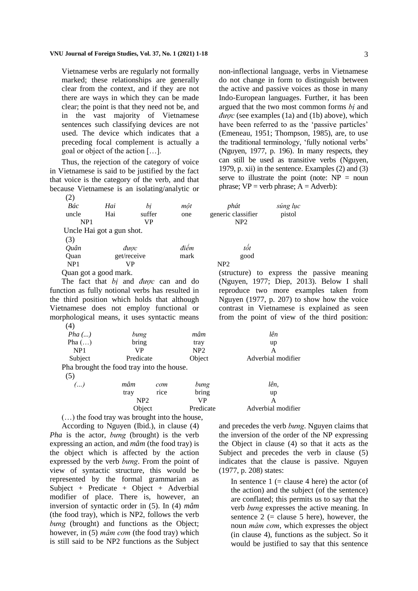Vietnamese verbs are regularly not formally marked; these relationships are generally clear from the context, and if they are not there are ways in which they can be made clear; the point is that they need not be, and in the vast majority of Vietnamese sentences such classifying devices are not used. The device which indicates that a preceding focal complement is actually a goal or object of the action […].

Thus, the rejection of the category of voice in Vietnamese is said to be justified by the fact that voice is the category of the verb, and that because Vietnamese is an isolating/analytic or  $(2)$ 

| $\sqrt{2}$      |                           |             |      |                    |          |
|-----------------|---------------------------|-------------|------|--------------------|----------|
| Bác             | Hai                       | bi          | môt  | phát               | súng lục |
| uncle           | Hai                       | suffer      | one  | generic classifier | pistol   |
| NP1             |                           | VP          |      | NP <sub>2</sub>    |          |
|                 | Uncle Hai got a gun shot. |             |      |                    |          |
| (3)             |                           |             |      |                    |          |
| Quân            |                           | được        | điểm | tÔt                |          |
| Quan            |                           | get/receive | mark | good               |          |
| NP <sub>1</sub> |                           | VР          |      | NP <sub>2</sub>    |          |
|                 |                           |             |      |                    |          |

Quan got a good mark.

The fact that *bị* and *được* can and do function as fully notional verbs has resulted in the third position which holds that although Vietnamese does not employ functional or morphological means, it uses syntactic means  $(4)$ 

| $Pha$ ()        | bung                                      | mâm    | lên                |
|-----------------|-------------------------------------------|--------|--------------------|
| Pha $()$        | bring                                     | tray   | up                 |
| NP <sub>1</sub> | VP                                        | NP2    |                    |
| Subject         | Predicate                                 | Object | Adverbial modifier |
|                 | Pha brought the food tray into the house. |        |                    |
| (5)             |                                           |        |                    |

| . 1 | mâm<br>com          |  | bung      | lên,        |
|-----|---------------------|--|-----------|-------------|
|     | tray<br>rice<br>NP2 |  | bring     | up          |
|     |                     |  | VP        |             |
|     | Obiect              |  | Predicate | Adverbial r |

(…) the food tray was brought into the house,

According to Nguyen (Ibid.), in clause (4) *Pha* is the actor, *bưng* (brought) is the verb expressing an action, and *mâm* (the food tray) is the object which is affected by the action expressed by the verb *bưng*. From the point of view of syntactic structure, this would be represented by the formal grammarian as Subject + Predicate + Object + Adverbial modifier of place. There is, however, an inversion of syntactic order in (5). In (4) *mâm* (the food tray), which is NP2, follows the verb *bưng* (brought) and functions as the Object; however, in (5) *mâm cơm* (the food tray) which is still said to be NP2 functions as the Subject non-inflectional language, verbs in Vietnamese do not change in form to distinguish between the active and passive voices as those in many Indo-European languages. Further, it has been argued that the two most common forms *bị* and *được* (see examples (1a) and (1b) above), which have been referred to as the 'passive particles' (Emeneau, 1951; Thompson, 1985), are, to use the traditional terminology, 'fully notional verbs' (Nguyen, 1977, p. 196). In many respects, they can still be used as transitive verbs (Nguyen, 1979, p. xii) in the sentence. Examples (2) and (3) serve to illustrate the point (note:  $NP = noun$ phrase;  $VP = verb$  phrase;  $A = Adverb$ ):

| phát<br>generic classifier<br>NP <sub>2</sub> | súng lục<br>pistol |                                               |  |
|-----------------------------------------------|--------------------|-----------------------------------------------|--|
|                                               |                    |                                               |  |
| tốt                                           |                    |                                               |  |
| good                                          |                    |                                               |  |
| NP <sub>2</sub>                               |                    |                                               |  |
|                                               |                    | (structure) to express the passive meaning    |  |
|                                               |                    | (Nguyen, 1977; Diep, 2013). Below I shall     |  |
|                                               |                    | reproduce two more examples taken from        |  |
|                                               |                    | Nguyen (1977, p. 207) to show how the voice   |  |
|                                               |                    | contrast in Vietnamese is explained as seen   |  |
|                                               |                    | from the point of view of the third position: |  |
|                                               |                    |                                               |  |

| lên                |
|--------------------|
| up                 |
| A                  |
| Adverbial modifier |
|                    |
|                    |
|                    |

Adverbial modifier

and precedes the verb *bưng*. Nguyen claims that the inversion of the order of the NP expressing the Object in clause (4) so that it acts as the Subject and precedes the verb in clause  $(5)$ indicates that the clause is passive. Nguyen (1977, p. 208) states:

In sentence  $1$  (= clause 4 here) the actor (of the action) and the subject (of the sentence) are conflated; this permits us to say that the verb *bưng* expresses the active meaning. In sentence  $2$  (= clause 5 here), however, the noun *mâm cơm*, which expresses the object (in clause 4), functions as the subject. So it would be justified to say that this sentence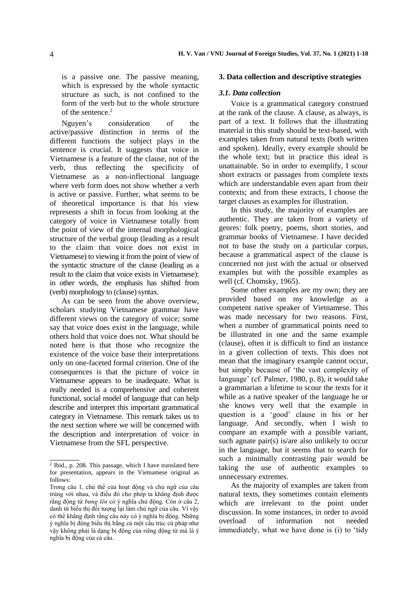is a passive one. The passive meaning, which is expressed by the whole syntactic structure as such, is not confined to the form of the verb but to the whole structure of the sentence.<sup>2</sup>

Nguyen's consideration of the active/passive distinction in terms of the different functions the subject plays in the sentence is crucial. It suggests that voice in Vietnamese is a feature of the clause, not of the verb, thus reflecting the specificity of Vietnamese as a non-inflectional language where verb form does not show whether a verb is active or passive. Further, what seems to be of theoretical importance is that his view represents a shift in focus from looking at the category of voice in Vietnamese totally from the point of view of the internal morphological structure of the verbal group (leading as a result to the claim that voice does not exist in Vietnamese) to viewing it from the point of view of the syntactic structure of the clause (leading as a result to the claim that voice exists in Vietnamese): in other words, the emphasis has shifted from (verb) morphology to (clause) syntax.

As can be seen from the above overview, scholars studying Vietnamese grammar have different views on the category of voice; some say that voice does exist in the language, while others hold that voice does not. What should be noted here is that those who recognize the existence of the voice base their interpretations only on one-faceted formal criterion. One of the consequences is that the picture of voice in Vietnamese appears to be inadequate. What is really needed is a comprehensive and coherent functional, social model of language that can help describe and interpret this important grammatical category in Vietnamese. This remark takes us to the next section where we will be concerned with the description and interpretation of voice in Vietnamese from the SFL perspective.

\_\_\_\_\_\_\_

#### **3. Data collection and descriptive strategies**

#### *3.1. Data collection*

Voice is a grammatical category construed at the rank of the clause. A clause, as always, is part of a text. It follows that the illustrating material in this study should be text-based, with examples taken from natural texts (both written and spoken). Ideally, every example should be the whole text; but in practice this ideal is unattainable. So in order to exemplify, I scour short extracts or passages from complete texts which are understandable even apart from their contexts; and from these extracts, I choose the target clauses as examples for illustration.

In this study, the majority of examples are authentic. They are taken from a variety of genres: folk poetry, poems, short stories, and grammar books of Vietnamese. I have decided not to base the study on a particular corpus, because a grammatical aspect of the clause is concerned not just with the actual or observed examples but with the possible examples as well (cf. Chomsky, 1965).

Some other examples are my own; they are provided based on my knowledge as a competent native speaker of Vietnamese. This was made necessary for two reasons. First, when a number of grammatical points need to be illustrated in one and the same example (clause), often it is difficult to find an instance in a given collection of texts. This does not mean that the imaginary example cannot occur, but simply because of 'the vast complexity of language' (cf. Palmer, 1980, p. 8), it would take a grammarian a lifetime to scour the texts for it while as a native speaker of the language he or she knows very well that the example in question is a 'good' clause in his or her language. And secondly, when I wish to compare an example with a possible variant, such agnate pair(s) is/are also unlikely to occur in the language, but it seems that to search for such a minimally contrasting pair would be taking the use of authentic examples to unnecessary extremes.

As the majority of examples are taken from natural texts, they sometimes contain elements which are irrelevant to the point under discussion. In some instances, in order to avoid overload of information not needed immediately, what we have done is (i) to 'tidy

<sup>2</sup> Ibid., p. 208. This passage, which I have translated here for presentation, appears in the Vietnamese original as follows:

Trong câu 1, chủ thể của hoạt động và chủ ngữ của câu trùng với nhau, và điều đó cho phép ta khẳng định được rằng động từ *bưng lên* có ý nghĩa chủ động. Còn ở câu 2, danh từ biểu thị đối tượng lại làm chủ ngữ của câu. Vì vậy có thể khẳng định rằng câu này có ý nghĩa bị động. Những ý nghĩa bị động biểu thị bằng cả một cấu trúc cú pháp như vậy không phải là dạng bị động của riêng động từ mà là ý nghĩa bị động của cả câu.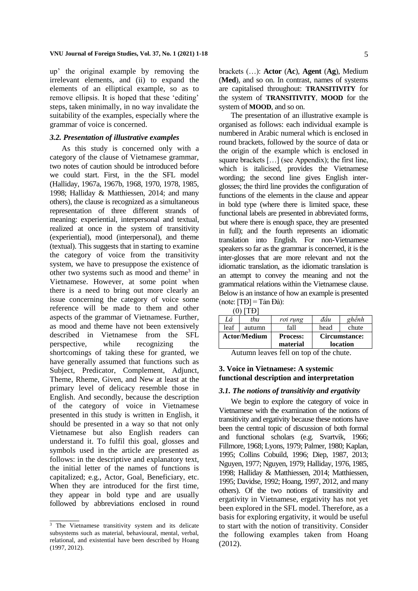up' the original example by removing the irrelevant elements, and (ii) to expand the elements of an elliptical example, so as to remove ellipsis. It is hoped that these 'editing' steps, taken minimally, in no way invalidate the suitability of the examples, especially where the grammar of voice is concerned.

#### *3.2. Presentation of illustrative examples*

As this study is concerned only with a category of the clause of Vietnamese grammar, two notes of caution should be introduced before we could start. First, in the the SFL model (Halliday, 1967a, 1967b, 1968, 1970, 1978, 1985, 1998; Halliday & Matthiessen, 2014; and many others), the clause is recognized as a simultaneous representation of three different strands of meaning: experiential, interpersonal and textual, realized at once in the system of transitivity (experiential), mood (interpersonal), and theme (textual). This suggests that in starting to examine the category of voice from the transitivity system, we have to presuppose the existence of other two systems such as mood and theme<sup>3</sup> in Vietnamese. However, at some point when there is a need to bring out more clearly an issue concerning the category of voice some reference will be made to them and other aspects of the grammar of Vietnamese. Further, as mood and theme have not been extensively described in Vietnamese from the SFL perspective, while recognizing the shortcomings of taking these for granted, we have generally assumed that functions such as Subject, Predicator, Complement, Adjunct, Theme, Rheme, Given, and New at least at the primary level of delicacy resemble those in English. And secondly, because the description of the category of voice in Vietnamese presented in this study is written in English, it should be presented in a way so that not only Vietnamese but also English readers can understand it. To fulfil this goal, glosses and symbols used in the article are presented as follows: in the descriptive and explanatory text, the initial letter of the names of functions is capitalized; e.g., Actor, Goal, Beneficiary, etc. When they are introduced for the first time, they appear in bold type and are usually followed by abbreviations enclosed in round

 $\overline{\phantom{a}}$ 

brackets (…): **Actor** (**Ac**), **Agent** (**Ag**), Medium (**Med**), and so on. In contrast, names of systems are capitalised throughout: **TRANSITIVITY** for the system of **TRANSITIVITY**, **MOOD** for the system of **MOOD**, and so on.

The presentation of an illustrative example is organised as follows: each individual example is numbered in Arabic numeral which is enclosed in round brackets, followed by the source of data or the origin of the example which is enclosed in square brackets […] (see Appendix); the first line, which is italicised, provides the Vietnamese wording; the second line gives English interglosses; the third line provides the configuration of functions of the elements in the clause and appear in bold type (where there is limited space, these functional labels are presented in abbreviated forms, but where there is enough space, they are presented in full); and the fourth represents an idiomatic translation into English. For non-Vietnamese speakers so far as the grammar is concerned, it is the inter-glosses that are more relevant and not the idiomatic translation, as the idiomatic translation is an attempt to convey the meaning and not the grammatical relations within the Vietnamese clause. Below is an instance of how an example is presented (note: [TĐ] = Tản Đà):

|--|

| Lá                  | thu    | roi rung                    | đâu                       | ghênh |
|---------------------|--------|-----------------------------|---------------------------|-------|
| leaf                | autumn | fall                        | head                      | chute |
| <b>Actor/Medium</b> |        | <b>Process:</b><br>material | Circumstance:<br>location |       |
|                     |        |                             |                           |       |

Autumn leaves fell on top of the chute.

## **3. Voice in Vietnamese: A systemic functional description and interpretation**

## *3.1. The notions of transitivity and ergativity*

We begin to explore the category of voice in Vietnamese with the examination of the notions of transitivity and ergativity because these notions have been the central topic of discussion of both formal and functional scholars (e.g. Svartvik, 1966; Fillmore, 1968; Lyons, 1979; Palmer, 1980; Kaplan, 1995; Collins Cobuild, 1996; Diep, 1987, 2013; Nguyen, 1977; Nguyen, 1979; Halliday, 1976, 1985, 1998; Halliday & Matthiessen, 2014; Matthiessen, 1995; Davidse, 1992; Hoang, 1997, 2012, and many others). Of the two notions of transitivity and ergativity in Vietnamese, ergativity has not yet been explored in the SFL model. Therefore, as a basis for exploring ergativity, it would be useful to start with the notion of transitivity. Consider the following examples taken from Hoang (2012).

<sup>&</sup>lt;sup>3</sup> The Vietnamese transitivity system and its delicate subsystems such as material, behavioural, mental, verbal, relational, and existential have been described by Hoang (1997, 2012).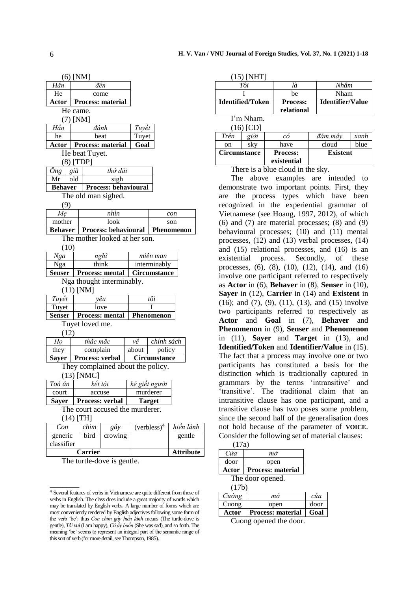|                               | $(6)$ [NM]                                    |                    |                                   |                                                            |               |            |  |
|-------------------------------|-----------------------------------------------|--------------------|-----------------------------------|------------------------------------------------------------|---------------|------------|--|
| Hăn                           |                                               |                    | đến                               |                                                            |               |            |  |
| He                            |                                               |                    | come                              |                                                            |               |            |  |
| Actor                         |                                               |                    | <b>Process: material</b>          |                                                            |               |            |  |
|                               | He came.                                      |                    |                                   |                                                            |               |            |  |
| 7)                            | [NM]                                          |                    |                                   |                                                            |               |            |  |
| Hăn                           |                                               |                    | đánh                              | Tuyết                                                      |               |            |  |
| he                            |                                               |                    | beat<br>Tuyet                     |                                                            |               |            |  |
| Actor                         |                                               |                    | Process: material                 | Goal                                                       |               |            |  |
|                               |                                               | He beat Tuyet.     |                                   |                                                            |               |            |  |
|                               |                                               | $(8)$ [TDP]        |                                   |                                                            |               |            |  |
| Ông                           | già                                           |                    | thở dài                           |                                                            |               |            |  |
| Mr                            | old                                           |                    | sigh                              |                                                            |               |            |  |
| <b>Behaver</b>                |                                               |                    | <b>Process: behavioural</b>       |                                                            |               |            |  |
|                               |                                               |                    | The old man sighed.               |                                                            |               |            |  |
| (9)                           |                                               |                    |                                   |                                                            |               |            |  |
| Mę                            |                                               |                    | nhìn                              |                                                            |               | con        |  |
| mother                        |                                               |                    | look                              |                                                            |               | son        |  |
| <b>Behaver</b>                |                                               |                    | Process: behavioural              |                                                            |               | Phenomenon |  |
| The mother looked at her son. |                                               |                    |                                   |                                                            |               |            |  |
| (10)                          |                                               |                    |                                   |                                                            |               |            |  |
| Nga                           | nghĩ<br>miên man                              |                    |                                   |                                                            |               |            |  |
| Nga                           |                                               |                    | think                             |                                                            | interminably  |            |  |
| <b>Senser</b>                 | <b>Process: mental</b><br><b>Circumstance</b> |                    |                                   |                                                            |               |            |  |
|                               |                                               |                    | Nga thought interminably.         |                                                            |               |            |  |
|                               |                                               | $(11)$ [NM]        |                                   |                                                            |               |            |  |
| Tuyết                         |                                               |                    | vêu                               | tôi                                                        |               |            |  |
| Tuyet                         |                                               |                    | love                              | T                                                          |               |            |  |
| <b>Senser</b>                 |                                               |                    | <b>Process: mental</b>            | <b>Phenomenon</b>                                          |               |            |  |
|                               |                                               | Tuyet loved me.    |                                   |                                                            |               |            |  |
| (12)                          |                                               |                    |                                   |                                                            |               |            |  |
| Họ                            |                                               | thắc mắc           |                                   | vê                                                         | chính sách    |            |  |
| they                          | complain<br>about<br>policy                   |                    |                                   |                                                            |               |            |  |
| Sayer                         |                                               |                    | Process: verbal                   |                                                            | Circumstance  |            |  |
|                               |                                               |                    | They complained about the policy. |                                                            |               |            |  |
|                               |                                               | $(13)$ [NMC]       |                                   |                                                            |               |            |  |
| Toà án                        |                                               | kết tội            |                                   |                                                            | kẻ giết người |            |  |
| court                         |                                               | murderer<br>accuse |                                   |                                                            |               |            |  |
| Sayer                         |                                               |                    | Process: verbal                   |                                                            | <b>Target</b> |            |  |
|                               |                                               |                    | The court accused the murderer.   |                                                            |               |            |  |
|                               | $(14)$ [TH]                                   |                    |                                   |                                                            |               |            |  |
|                               |                                               |                    |                                   | hiền lành<br>(verbless) <sup>4</sup><br>Con<br>chim<br>gáy |               |            |  |
| generic                       |                                               | bird               | crowing                           |                                                            |               | gentle     |  |

| generic<br>classifier | bird | crowing | gentle           |
|-----------------------|------|---------|------------------|
| <b>Carrier</b>        |      |         | <b>Attribute</b> |

The turtle-dove is gentle.

\_\_\_\_\_\_\_

| <b>Identified/Token</b> | <b>Process:</b><br>relational | <b>Identifier/Value</b> |
|-------------------------|-------------------------------|-------------------------|
|                         | be                            | Nham                    |
| Tôi                     | là                            | Nhâm                    |
| 1.771111                |                               |                         |

I'm Nham.  $(16)$   $[CD]$ 

| LU)                 | U    |                                |                 |      |
|---------------------|------|--------------------------------|-----------------|------|
| Trên                | giời | сó                             | đám mâv         | xanh |
| on                  | sky  | have                           | cloud           | blue |
| <b>Circumstance</b> |      | <b>Process:</b><br>existential | <b>Existent</b> |      |
|                     |      |                                |                 |      |

There is a blue cloud in the sky.

The above examples are intended to demonstrate two important points. First, they are the process types which have been recognized in the experiential grammar of Vietnamese (see Hoang, 1997, 2012), of which (6) and (7) are material processes; (8) and (9) behavioural processes; (10) and (11) mental processes, (12) and (13) verbal processes, (14) and (15) relational processes, and (16) is an existential process. Secondly, of these processes, (6), (8), (10), (12), (14), and (16) involve one participant referred to respectively as **Actor** in (6), **Behaver** in (8), **Senser** in (10), **Sayer** in (12), **Carrier** in (14) and **Existent** in (16); and (7), (9), (11), (13), and (15) involve two participants referred to respectively as **Actor** and **Goal** in (7), **Behaver** and **Phenomenon** in (9), **Senser** and **Phenomenon** in (11), **Sayer** and **Target** in (13), and **Identified/Token** and **Identifier/Value** in (15). The fact that a process may involve one or two participants has constituted a basis for the distinction which is traditionally captured in grammars by the terms 'intransitive' and 'transitive'. The traditional claim that an intransitive clause has one participant, and a transitive clause has two poses some problem, since the second half of the generalisation does not hold because of the parameter of **VOICE**. Consider the following set of material clauses:

| (17a) |                          |      |
|-------|--------------------------|------|
| Cửa   | $m\dot{\sigma}$          |      |
| door  | open                     |      |
| Actor | <b>Process: material</b> |      |
|       | The door opened.         |      |
| (17b) |                          |      |
| Cường | $m\dot{\sigma}$          | cira |
| Cuong | open                     | door |
| Actor | <b>Process: material</b> | Goal |

Cuong opened the door.

<sup>4</sup> Several features of verbs in Vietnamese are quite different from those of verbs in English. The class does include a great majority of words which may be translated by English verbs. A large number of forms which are most conveniently rendered by English adjectives following some form of the verb 'be': thus *Con chim gáy hiền lành* means (The turtle-dove is gentle), *Tôi vui* (I am happy), *Cô ấy buồn* (She was sad), and so forth. The meaning 'be' seems to represent an integral part of the semantic range of this sort of verb (for more detail, see Thompson, 1985).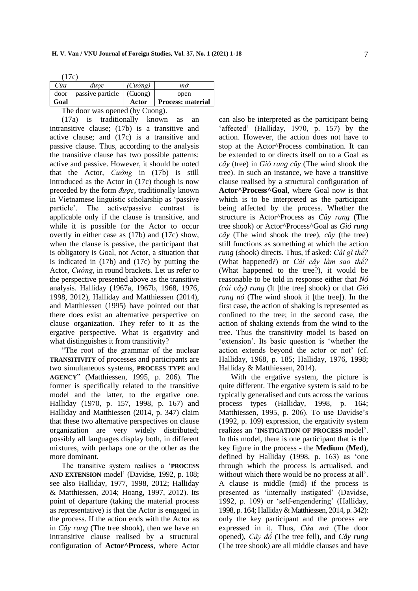| Cửa  | duoc             | $(Cu\grave{o}ng)$ | mò                       |
|------|------------------|-------------------|--------------------------|
| door | passive particle | (Cuone)           | open                     |
| Goal |                  | Actor             | <b>Process: material</b> |

The door was opened (by Cuong).

(17a) is traditionally known as an intransitive clause; (17b) is a transitive and active clause; and (17c) is a transitive and passive clause. Thus, according to the analysis the transitive clause has two possible patterns: active and passive. However, it should be noted that the Actor, *Cường* in (17b) is still introduced as the Actor in (17c) though is now preceded by the form *được*, traditionally known in Vietnamese linguistic scholarship as 'passive particle'. The active/passive contrast is applicable only if the clause is transitive, and while it is possible for the Actor to occur overtly in either case as (17b) and (17c) show, when the clause is passive, the participant that is obligatory is Goal, not Actor, a situation that is indicated in (17b) and (17c) by putting the Actor, *Cường*, in round brackets. Let us refer to the perspective presented above as the transitive analysis. Halliday (1967a, 1967b, 1968, 1976, 1998, 2012), Halliday and Matthiessen (2014), and Matthiessen (1995) have pointed out that there does exist an alternative perspective on clause organization. They refer to it as the ergative perspective. What is ergativity and what distinguishes it from transitivity?

"The root of the grammar of the nuclear **TRANSITIVITY** of processes and participants are two simultaneous systems, **PROCESS TYPE** and **AGENCY**" (Matthiessen, 1995, p. 206). The former is specifically related to the transitive model and the latter, to the ergative one. Halliday (1970, p. 157, 1998, p. 167) and Halliday and Matthiessen (2014, p. 347) claim that these two alternative perspectives on clause organization are very widely distributed; possibly all languages display both, in different mixtures, with perhaps one or the other as the more dominant.

The transitive system realises a '**PROCESS AND EXTENSION** model' (Davidse, 1992, p. 108; see also Halliday, 1977, 1998, 2012; Halliday & Matthiessen, 2014; Hoang, 1997, 2012). Its point of departure (taking the material process as representative) is that the Actor is engaged in the process. If the action ends with the Actor as in *Cây rung* (The tree shook), then we have an intransitive clause realised by a structural configuration of **Actor^Process**, where Actor can also be interpreted as the participant being 'affected' (Halliday, 1970, p. 157) by the action. However, the action does not have to stop at the Actor^Process combination. It can be extended to or directs itself on to a Goal as *cây* (tree) in *Gió rung cây* (The wind shook the tree). In such an instance, we have a transitive clause realised by a structural configuration of **Actor^Process^Goal**, where Goal now is that which is to be interpreted as the participant being affected by the process. Whether the structure is Actor^Process as *Cây rung* (The tree shook) or Actor^Process^Goal as *Gió rung cây* (The wind shook the tree), *cây* (the tree) still functions as something at which the action *rung* (shook) directs. Thus, if asked: *Cái gì thế?* (What happened?) or *Cái cây làm sao thế?* (What happened to the tree?), it would be reasonable to be told in response either that *Nó (cái cây) rung* (It [the tree] shook) or that *Gió rung nó* (The wind shook it [the tree]). In the first case, the action of shaking is represented as confined to the tree; in the second case, the action of shaking extends from the wind to the tree. Thus the transitivity model is based on 'extension'. Its basic question is 'whether the action extends beyond the actor or not' (cf. Halliday, 1968, p. 185; Halliday, 1976, 1998; Halliday & Matthiessen, 2014).

With the ergative system, the picture is quite different. The ergative system is said to be typically generalised and cuts across the various process types (Halliday, 1998, p. 164; Matthiessen, 1995, p. 206). To use Davidse's (1992, p. 109) expression, the ergativity system realizes an '**INSTIGATION OF PROCESS** model'. In this model, there is one participant that is the key figure in the process - the **Medium** (**Med**), defined by Halliday (1998, p. 163) as 'one through which the process is actualised, and without which there would be no process at all'. A clause is middle (mid) if the process is presented as 'internally instigated' (Davidse, 1992, p. 109) or 'self-engendering' (Halliday, 1998, p. 164; Halliday & Matthiessen, 2014, p. 342): only the key participant and the process are expressed in it. Thus, *Cửa mở* (The door opened), *Cây đổ* (The tree fell), and *Cây rung* (The tree shook) are all middle clauses and have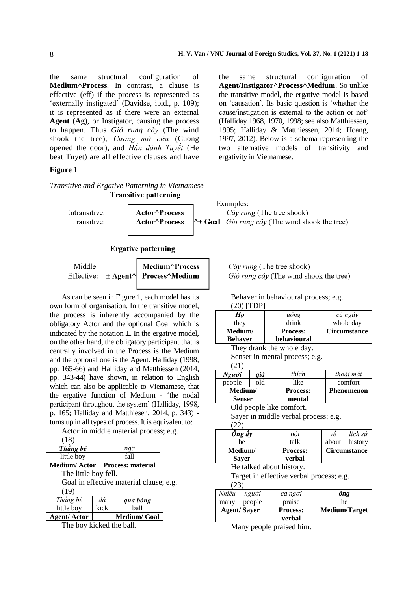the same structural configuration of **Medium^Process**. In contrast, a clause is effective (eff) if the process is represented as 'externally instigated' (Davidse, ibid., p. 109); it is represented as if there were an external **Agent** (**Ag**), or Instigator, causing the process to happen. Thus *Gió rung cây* (The wind shook the tree), *Cường mở cửa* (Cuong opened the door), and *Hắn đánh Tuyết* (He beat Tuyet) are all effective clauses and have

## **Figure 1**

*Transitive and Ergative Patterning in Vietnamese*

the same structural configuration of **Agent/Instigator^Process^Medium**. So unlike the transitive model, the ergative model is based on 'causation'. Its basic question is 'whether the cause/instigation is external to the action or not' (Halliday 1968, 1970, 1998; see also Matthiessen, 1995; Halliday & Matthiessen, 2014; Hoang, 1997, 2012). Below is a schema representing the two alternative models of transitivity and ergativity in Vietnamese.

|               | <b>Transitive patterning</b>      |                                                               |
|---------------|-----------------------------------|---------------------------------------------------------------|
|               |                                   | Examples:                                                     |
| Intransitive: | <b>Actor</b> <sup>^</sup> Process | <i>Cây rung</i> (The tree shook)                              |
| Transitive:   | <b>Actor^Process</b>              | $\sim \pm$ Goal <i>Gió rung cây</i> (The wind shook the tree) |
|               |                                   |                                                               |

#### **Ergative patterning**

| Middle: | Medium^Process                                                                                      |
|---------|-----------------------------------------------------------------------------------------------------|
|         | Effective: $\pm$ Agent <sup><math>\wedge</math></sup> Process <sup><math>\wedge</math></sup> Medium |

As can be seen in Figure 1, each model has its own form of organisation. In the transitive model, the process is inherently accompanied by the obligatory Actor and the optional Goal which is indicated by the notation  $\pm$ . In the ergative model, on the other hand, the obligatory participant that is centrally involved in the Process is the Medium and the optional one is the Agent. Halliday (1998, pp. 165-66) and Halliday and Matthiessen (2014, pp. 343-44) have shown, in relation to English which can also be applicable to Vietnamese, that the ergative function of Medium - 'the nodal participant throughout the system' (Halliday, 1998, p. 165; Halliday and Matthiesen, 2014, p. 343) turns up in all types of process. It is equivalent to:

Actor in middle material process; e.g.

|  | × |
|--|---|
|  |   |

| Thẳng bé   | ngã                              |
|------------|----------------------------------|
| little boy | fall                             |
|            | Medium/Actor   Process: material |

The little boy fell.

Goal in effective material clause; e.g. (19)

| Thẳng bé           | đá   | quả bóng     |
|--------------------|------|--------------|
| little boy         | kick | ball         |
| <b>Agent/Actor</b> |      | Medium/ Goal |

The boy kicked the ball.

Cây rung (The tree shook) Gió rung cây (The wind shook the tree)

Behaver in behavioural process; e.g. (20) [TDP]

| $\sim$ $\sim$ 1.                              |                                |                 |                     |  |  |
|-----------------------------------------------|--------------------------------|-----------------|---------------------|--|--|
| Ho                                            |                                | uống            | cả ngày             |  |  |
| they                                          |                                | drink           | whole day           |  |  |
| Medium/                                       |                                | <b>Process:</b> | <b>Circumstance</b> |  |  |
|                                               | <b>Behaver</b><br>behavioural  |                 |                     |  |  |
|                                               | They drank the whole day.      |                 |                     |  |  |
|                                               | Senser in mental process; e.g. |                 |                     |  |  |
| (21)                                          |                                |                 |                     |  |  |
| Người                                         | già                            | thích           | thoải mái           |  |  |
| people                                        | old                            | like            | comfort             |  |  |
| $M = 32 - 12$<br><b>DL </b><br><b>D</b> -2222 |                                |                 |                     |  |  |

| poopio        | ∪w | $\cdots$                 | comou             |
|---------------|----|--------------------------|-------------------|
| Medium/       |    | <b>Process:</b>          | <b>Phenomenon</b> |
| <b>Senser</b> |    | mental                   |                   |
|               |    | Old people like comfort. |                   |

Sayer in middle verbal process; e.g. (22)

| nói                       | νê                  | lich sử |
|---------------------------|---------------------|---------|
| talk                      | about               | history |
| <b>Process:</b><br>verbal | <b>Circumstance</b> |         |
|                           |                     |         |

He talked about history.

Target in effective verbal process; e.g.  $(23)$ 

| --       |                    |                 |                      |
|----------|--------------------|-----------------|----------------------|
| Nhiêu    | người              | ca ngoi         | ông                  |
| many     | people             | praise          | he                   |
|          | <b>Agent/Sayer</b> | <b>Process:</b> | <b>Medium/Target</b> |
|          |                    | verbal          |                      |
| <b>A</b> |                    | $\cdots$        |                      |

Many people praised him.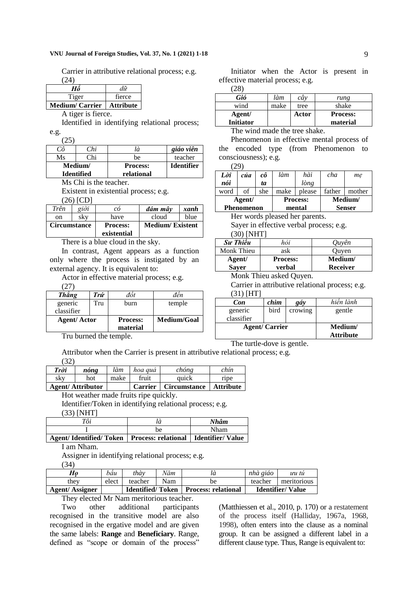#### **VNU Journal of Foreign Studies, Vol. 37, No. 1 (2021) 1-18** 9

Carrier in attributive relational process; e.g.  $(24)$ 

| Hô                    | dữ               |
|-----------------------|------------------|
| Tiger                 | fierce           |
| <b>Medium/Carrier</b> | <b>Attribute</b> |

A tiger is fierce.

Identified in identifying relational process; e.g.

(25)

| Сô | Chi               | là              | giáo viên         |
|----|-------------------|-----------------|-------------------|
| Ms | ∩hi               | be              | teacher           |
|    | Medium/           | <b>Process:</b> | <b>Identifier</b> |
|    | <b>Identified</b> | relational      |                   |

Ms Chi is the teacher.

Existent in existential process; e.g.

(26) [CD]

| Trên                | giời | сó                             | đám mây                | xanh |
|---------------------|------|--------------------------------|------------------------|------|
| on                  | skv  | have                           | cloud                  | blue |
| <b>Circumstance</b> |      | <b>Process:</b><br>existential | <b>Medium/Existent</b> |      |

There is a blue cloud in the sky.

In contrast, Agent appears as a function only where the process is instigated by an external agency. It is equivalent to:

Actor in effective material process; e.g.

(27)

| Thăng              | Trứ            | đôt             | đên         |
|--------------------|----------------|-----------------|-------------|
| generic            | Tru            | burn            | temple      |
| classifier         |                |                 |             |
| <b>Agent/Actor</b> |                | <b>Process:</b> | Medium/Goal |
|                    |                | material        |             |
| —                  | $\blacksquare$ |                 |             |

Initiator when the Actor is present in effective material process; e.g.

(28)

| Gió              | làm  | cây   | rung            |
|------------------|------|-------|-----------------|
| wind             | make | tree  | shake           |
| Agent/           |      | Actor | <b>Process:</b> |
| <b>Initiator</b> |      |       | material        |

The wind made the tree shake.

Phenomenon in effective mental process of the encoded type (from Phenomenon to consciousness); e.g.  $(20)$ 

|      | ムフー        |     |      |                 |        |               |
|------|------------|-----|------|-----------------|--------|---------------|
| Lòi  | của        | сô  | làm  | hài             | cha    | me            |
| nói  |            | tа  |      | lòng            |        |               |
| word | of         | she | make | please          | father | mother        |
|      | Agent/     |     |      | <b>Process:</b> |        | Medium/       |
|      | Phenomenon |     |      | mental          |        | <b>Senser</b> |

Her words pleased her parents.

Sayer in effective verbal process; e.g. (30) [NHT]

| <b>Su Thiều</b> | hỏi             | Ouyên           |
|-----------------|-----------------|-----------------|
| Monk Thieu      | ask             | Quyen           |
| Agent/          | <b>Process:</b> | Medium/         |
| <b>Sayer</b>    | verbal          | <b>Receiver</b> |
| . .<br>---      | $\sim$          |                 |

Monk Thieu asked Quyen.

The turtle-dove is gentle.

Carrier in attributive relational process; e.g. (31) [HT]

| <b>Con</b>           | chim | gáy     | hiền lành        |
|----------------------|------|---------|------------------|
| generic              | bird | crowing | gentle           |
| classifier           |      |         |                  |
| <b>Agent/Carrier</b> |      |         | Medium/          |
|                      |      |         | <b>Attribute</b> |

Tru burned the temple.

Attributor when the Carrier is present in attributive relational process; e.g. (32)

|                                | nóng | làm  | hoa guá<br>fruit | chóng                        | chín              |
|--------------------------------|------|------|------------------|------------------------------|-------------------|
| sky<br><b>Agent/Attributor</b> | hot  | make | <b>Carrier</b>   | quick<br><b>Circumstance</b> | ripe<br>Attribute |

Hot weather made fruits ripe quickly.

Identifier/Token in identifying relational process; e.g. (33) [NHT]

| Tôi                                                             | là | Nhâm |
|-----------------------------------------------------------------|----|------|
|                                                                 | be | Nham |
| Agent/Identified/Token   Process: relational   Identifier/Value |    |      |

I am Nham.

Assigner in identifying relational process; e.g.

(34)

| <b>Agent/Assigner</b> |       | <b>Identified/Token</b> |     | <b>Process: relational</b> |          | <b>Identifier/Value</b> |
|-----------------------|-------|-------------------------|-----|----------------------------|----------|-------------------------|
| they                  | elect | teacher                 | Nam | be                         | teacher  | meritorious             |
| $H_0$                 | bâu   | thàv                    | Năm |                            | nhà giáo | uu tü                   |

They elected Mr Nam meritorious teacher.

Two other additional participants recognised in the transitive model are also recognised in the ergative model and are given the same labels: **Range** and **Beneficiary**. Range, defined as "scope or domain of the process"

(Matthiessen et al., 2010, p. 170) or a restatement of the process itself (Halliday, 1967a, 1968, 1998), often enters into the clause as a nominal group. It can be assigned a different label in a different clause type. Thus, Range is equivalent to: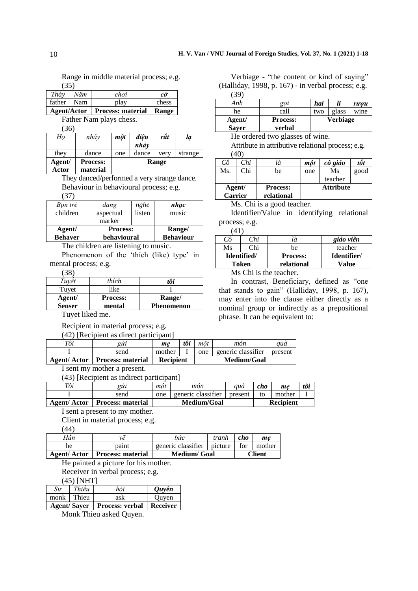Range in middle material process; e.g. (35)

| Thày                   | Năm | chơi                                    | сò    |
|------------------------|-----|-----------------------------------------|-------|
| father $\parallel$ Nam |     | play                                    | chess |
|                        |     | Agent/Actor   Process: material   Range |       |

| Father Nam plays chess. |  |
|-------------------------|--|

 $(36)$ 

| Ho              | nhảy                        | môt | điêu<br>nhảy | rât   | lạ      |
|-----------------|-----------------------------|-----|--------------|-------|---------|
| they            | dance                       | one | dance        | very  | strange |
| Agent/<br>Actor | <b>Process:</b><br>material |     |              | Range |         |

They danced/performed a very strange dance. Behaviour in behavioural process; e.g.

(37)

| Bon trẻ        | dang            | nghe   | nhac             |
|----------------|-----------------|--------|------------------|
| children       | aspectual       | listen | music            |
|                | marker          |        |                  |
| Agent/         | <b>Process:</b> |        | Range/           |
| <b>Behaver</b> | behavioural     |        | <b>Behaviour</b> |

The children are listening to music.

Phenomenon of the 'thích (like) type' in mental process; e.g.

 $(38)$ 

| Tuvêt         | thích           | tôi               |
|---------------|-----------------|-------------------|
| Tuyet         | like            |                   |
| Agent/        | <b>Process:</b> | Range/            |
| <b>Senser</b> | mental          | <b>Phenomenon</b> |

Tuyet liked me.

Recipient in material process; e.g.

(42) [Recipient as direct participant]

| Tôi                | gırı                     | me               | tôi | môt | mon                | aua     |
|--------------------|--------------------------|------------------|-----|-----|--------------------|---------|
|                    | send                     | mother           |     | one | generic classifier | present |
| <b>Agent/Actor</b> | <b>Process: material</b> | <b>Recipient</b> |     |     | Medium/Goal        |         |
|                    |                          |                  |     |     |                    |         |

I sent my mother a present.

(43) [Recipient as indirect participant]

| Tôi                | euu                      | môt         | mòn                | auá     | cho              | me     | tôi |
|--------------------|--------------------------|-------------|--------------------|---------|------------------|--------|-----|
|                    | send                     | one         | generic classifier | present | to               | mother |     |
| <b>Agent/Actor</b> | <b>Process: material</b> | Medium/Goal |                    |         | <b>Recipient</b> |        |     |
|                    |                          |             |                    |         |                  |        |     |

I sent a present to my mother.

Client in material process; e.g.

(44)

|     | <b>Agent/Actor   Process: material</b> | <b>Medium</b> / Goal       |       |     | Client |
|-----|----------------------------------------|----------------------------|-------|-----|--------|
| he  | paint                                  | generic classifier picture |       | for | mother |
| Hăn | νẽ                                     | bức                        | tranh | cho | me     |

## He painted a picture for his mother.

Receiver in verbal process; e.g.

(45) [NHT]

| $\mathit{S}\mathit{u}$                 | Thiều | hòi                                                                   | <b>Ouvên</b> |
|----------------------------------------|-------|-----------------------------------------------------------------------|--------------|
| monk                                   | Thieu | ask                                                                   | Quyen        |
| $\lambda$ and $\mu$ $\Omega$ and $\mu$ |       | $\mathbf{D}_{\text{measured}}$ real of $\mathbf{D}_{\text{measured}}$ |              |

**Agent/ Sayer** | **Process: verbal** | **Receiver** |

Monk Thieu asked Quyen.

| Anh                    | goi                       | hai |          | rwou |
|------------------------|---------------------------|-----|----------|------|
| he                     | call                      | two | glass    | wine |
| Agent/<br><b>Saver</b> | <b>Process:</b><br>verbal |     | Verbiage |      |

He ordered two glasses of wine. Attribute in attributive relational process; e.g. (40)

| Сô     | Chi                          | là              | môt | cô giáo          | tôt  |
|--------|------------------------------|-----------------|-----|------------------|------|
| Ms.    | Chi                          | be              | one | Ms               | good |
|        |                              |                 |     | teacher          |      |
| Agent/ |                              | <b>Process:</b> |     | <b>Attribute</b> |      |
|        | <b>Carrier</b><br>relational |                 |     |                  |      |

Ms. Chi is a good teacher.

Identifier/Value in identifying relational process; e.g.

 $(41)$ 

| T11<br>Сô   | Chi   | là              | giáo viên   |
|-------------|-------|-----------------|-------------|
| Ms          | Chi   | be              | teacher     |
| Identified/ |       | <b>Process:</b> | Identifier/ |
|             | Token | relational      | Value       |
|             |       |                 |             |

Ms Chi is the teacher.

In contrast, Beneficiary, defined as "one that stands to gain" (Halliday, 1998, p. 167), may enter into the clause either directly as a nominal group or indirectly as a prepositional phrase. It can be equivalent to: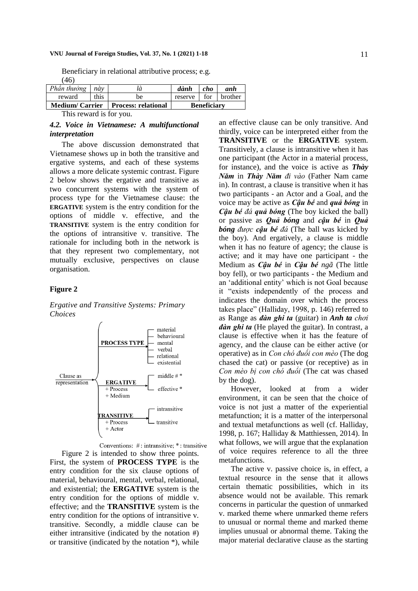#### **VNU Journal of Foreign Studies, Vol. 37, No. 1 (2021) 1-18** 11

Beneficiary in relational attributive process; e.g. (46)

| $\sim$                    |            |                                      |                     |                    |     |
|---------------------------|------------|--------------------------------------|---------------------|--------------------|-----|
|                           |            | Medium/Carrier   Process: relational |                     | <b>Beneficiary</b> |     |
| reward                    | $\pm$ this | be                                   | reserve for brother |                    |     |
| Phần thưởng $n\grave{a}y$ |            | là                                   | dành                | $-cho$             | anh |

This reward is for you.

#### *4.2. Voice in Vietnamese: A multifunctional interpretation*

The above discussion demonstrated that Vietnamese shows up in both the transitive and ergative systems, and each of these systems allows a more delicate systemic contrast. Figure 2 below shows the ergative and transitive as two concurrent systems with the system of process type for the Vietnamese clause: the **ERGATIVE** system is the entry condition for the options of middle v. effective, and the **TRANSITIVE** system is the entry condition for the options of intransitive v. transitive. The rationale for including both in the network is that they represent two complementary, not mutually exclusive, perspectives on clause organisation.

#### **Figure 2**

*Ergative and Transitive Systems: Primary Choices*





Figure 2 is intended to show three points. First, the system of **PROCESS TYPE** is the entry condition for the six clause options of material, behavioural, mental, verbal, relational, and existential; the **ERGATIVE** system is the entry condition for the options of middle v. effective; and the **TRANSITIVE** system is the entry condition for the options of intransitive v. transitive. Secondly, a middle clause can be either intransitive (indicated by the notation #) or transitive (indicated by the notation \*), while an effective clause can be only transitive. And thirdly, voice can be interpreted either from the **TRANSITIVE** or the **ERGATIVE** system. Transitively, a clause is intransitive when it has one participant (the Actor in a material process, for instance), and the voice is active as *Thày Năm* in *Thày Năm đi vào* (Father Nam came in). In contrast, a clause is transitive when it has two participants - an Actor and a Goal, and the voice may be active as *Cậu bé* and *quả bóng* in *Cậu bé đá quả bóng* (The boy kicked the ball) or passive as *Quả bóng* and *cậu bé* in *Quả bóng được cậu bé đá* (The ball was kicked by the boy). And ergatively, a clause is middle when it has no feature of agency; the clause is active; and it may have one participant - the Medium as *Cậu bé* in *Cậu bé ngã* (The little boy fell), or two participants - the Medium and an 'additional entity' which is not Goal because it "exists independently of the process and indicates the domain over which the process takes place" (Halliday, 1998, p. 146) referred to as Range as *đàn ghi ta* (guitar) in *Anh ta chơi đàn ghi ta* (He played the guitar). In contrast, a clause is effective when it has the feature of agency, and the clause can be either active (or operative) as in *Con chó đuổi con mèo* (The dog chased the cat) or passive (or receptive) as in *Con mèo bị con chó đuổi* (The cat was chased by the dog).

However, looked at from a wider environment, it can be seen that the choice of voice is not just a matter of the experiential metafunction; it is a matter of the interpersonal and textual metafunctions as well (cf. Halliday, 1998, p. 167; Halliday & Matthiessen, 2014). In what follows, we will argue that the explanation of voice requires reference to all the three metafunctions.

The active v. passive choice is, in effect, a textual resource in the sense that it allows certain thematic possibilities, which in its absence would not be available. This remark concerns in particular the question of unmarked v. marked theme where unmarked theme refers to unusual or normal theme and marked theme implies unusual or abnormal theme. Taking the major material declarative clause as the starting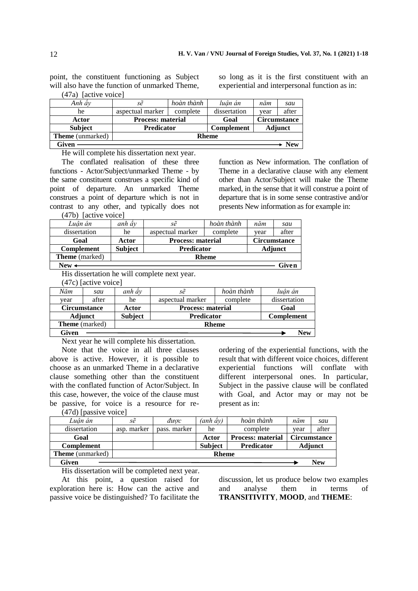point, the constituent functioning as Subject will also have the function of unmarked Theme, (47a) [active voice]

so long as it is the first constituent with an experiential and interpersonal function as in:

| Given                   |                          |            |              |      | $\textcolor{red}{\div}$ New |
|-------------------------|--------------------------|------------|--------------|------|-----------------------------|
| <b>Theme</b> (unmarked) | <b>Rheme</b>             |            |              |      |                             |
| <b>Subject</b>          | <b>Predicator</b>        |            | Complement   |      | <b>Adjunct</b>              |
| Actor                   | <b>Process: material</b> |            | Goal         |      | <b>Circumstance</b>         |
| he                      | aspectual marker         | complete   | dissertation | vear | after                       |
| Anh ây                  | sẽ                       | hoàn thành | luân án      | năm  | sau                         |
|                         |                          |            |              |      |                             |

He will complete his dissertation next year.

The conflated realisation of these three functions - Actor/Subject/unmarked Theme - by the same constituent construes a specific kind of point of departure. An unmarked Theme construes a point of departure which is not in contrast to any other, and typically does not (47b) [active voice]

function as New information. The conflation of Theme in a declarative clause with any element other than Actor/Subject will make the Theme marked, in the sense that it will construe a point of departure that is in some sense contrastive and/or presents New information as for example in:

| $New -$                                                                   |                |                          |            |      | Given               |
|---------------------------------------------------------------------------|----------------|--------------------------|------------|------|---------------------|
| <b>Theme</b> (marked)                                                     | <b>Rheme</b>   |                          |            |      |                     |
| <b>Complement</b>                                                         | <b>Subject</b> | <b>Predicator</b>        |            |      | Adjunct             |
| Goal                                                                      | Actor          | <b>Process: material</b> |            |      | <b>Circumstance</b> |
| dissertation                                                              | he             | aspectual marker         | complete   | year | after               |
| Luân án                                                                   | anh ây         | sẽ                       | hoàn thành | năm  | sau                 |
| $1707$ $\mu$ $\alpha$ $\alpha$ $\alpha$ $\beta$ $\alpha$ $\alpha$ $\beta$ |                |                          |            |      |                     |

His dissertation he will complete next year.

(47c) [active voice]

| Năm   | sau                   | anh ây         | sẽ                       | hoàn thành | luân án           |
|-------|-----------------------|----------------|--------------------------|------------|-------------------|
| vear  | after                 | he             | aspectual marker         | complete   | dissertation      |
|       | <b>Circumstance</b>   | Actor          | <b>Process: material</b> |            | Goal              |
|       | <b>Adjunct</b>        | <b>Subject</b> | <b>Predicator</b>        |            | <b>Complement</b> |
|       | <b>Theme</b> (marked) | <b>Rheme</b>   |                          |            |                   |
| Given |                       |                |                          |            | New               |

Next year he will complete his dissertation.

Note that the voice in all three clauses above is active. However, it is possible to choose as an unmarked Theme in a declarative clause something other than the constituent with the conflated function of Actor/Subject. In this case, however, the voice of the clause must be passive, for voice is a resource for reordering of the experiential functions, with the result that with different voice choices, different experiential functions will conflate with different interpersonal ones. In particular, Subject in the passive clause will be conflated with Goal, and Actor may or may not be present as in:

(47d) [passive voice]

| Given                   |              |              |                |                          |      | New                 |
|-------------------------|--------------|--------------|----------------|--------------------------|------|---------------------|
| <b>Theme</b> (unmarked) | <b>Rheme</b> |              |                |                          |      |                     |
| <b>Complement</b>       |              |              | <b>Subject</b> | <b>Predicator</b>        |      | <b>Adjunct</b>      |
| Goal                    |              |              | Actor          | <b>Process: material</b> |      | <b>Circumstance</b> |
| dissertation            | asp. marker  | pass. marker | he             | complete                 | vear | after               |
| Luân án                 | sẽ           | được         | (anh ây)       | hoàn thành               | năm  | sau                 |

His dissertation will be completed next year.

At this point, a question raised for exploration here is: How can the active and passive voice be distinguished? To facilitate the discussion, let us produce below two examples and analyse them in terms of **TRANSITIVITY**, **MOOD**, and **THEME**: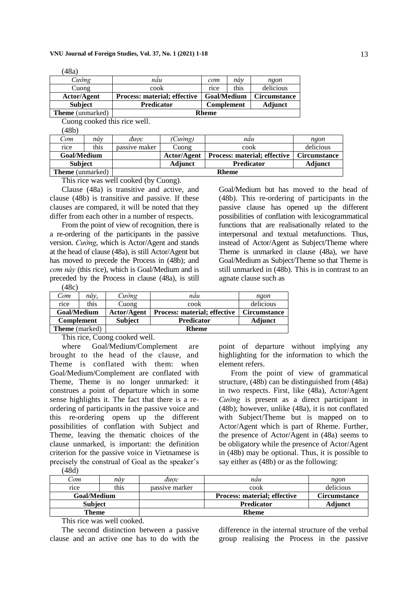| Cường                   | näu                                 | com                | này  | ngon           |
|-------------------------|-------------------------------------|--------------------|------|----------------|
| Cuong                   | cook                                | rice               | this | delicious      |
| Actor/Agent             | <b>Process: material; effective</b> | <b>Goal/Medium</b> |      | Circumstance   |
| <b>Subject</b>          | <b>Predicator</b>                   | <b>Complement</b>  |      | <b>Adjunct</b> |
| <b>Theme</b> (unmarked) |                                     | <b>Rheme</b>       |      |                |

Cuong cooked this rice well.

(48a)

| (48b)                   |      |                                     |              |                                     |                     |  |
|-------------------------|------|-------------------------------------|--------------|-------------------------------------|---------------------|--|
| Com                     | náv  | được                                | (Cường)      | nau                                 | ngon                |  |
| rice                    | this | passive maker                       | Cuong        | cook                                | delicious           |  |
| <b>Goal/Medium</b>      |      |                                     | Actor/Agent  | <b>Process: material; effective</b> | <b>Circumstance</b> |  |
| <b>Subject</b>          |      | <b>Adjunct</b><br><b>Predicator</b> |              | Adjunct                             |                     |  |
| <b>Theme</b> (unmarked) |      |                                     | <b>Rheme</b> |                                     |                     |  |

This rice was well cooked (by Cuong).

Clause (48a) is transitive and active, and clause (48b) is transitive and passive. If these clauses are compared, it will be noted that they differ from each other in a number of respects.

From the point of view of recognition, there is a re-ordering of the participants in the passive version. *Cường*, which is Actor/Agent and stands at the head of clause (48a), is still Actor/Agent but has moved to precede the Process in (48b); and *cơm này* (this rice), which is Goal/Medium and is preceded by the Process in clause (48a), is still (48c)

Goal/Medium but has moved to the head of (48b). This re-ordering of participants in the passive clause has opened up the different possibilities of conflation with lexicogrammatical functions that are realisationally related to the interpersonal and textual metafunctions. Thus, instead of Actor/Agent as Subject/Theme where Theme is unmarked in clause (48a), we have Goal/Medium as Subject/Theme so that Theme is still unmarked in (48b). This is in contrast to an agnate clause such as

| Com<br>rice       | nàv.<br>this | Cuòng          | nau<br>cook                         | ngon<br>delicious |
|-------------------|--------------|----------------|-------------------------------------|-------------------|
|                   |              | Cuong          |                                     |                   |
| Goal/Medium       |              | Actor/Agent    | <b>Process: material; effective</b> | Circumstance      |
|                   |              |                |                                     |                   |
| <b>Complement</b> |              | <b>Subject</b> | <b>Predicator</b>                   | <b>Adjunct</b>    |

This rice, Cuong cooked well.

where Goal/Medium/Complement are brought to the head of the clause, and Theme is conflated with them: when Goal/Medium/Complement are conflated with Theme, Theme is no longer unmarked: it construes a point of departure which in some sense highlights it. The fact that there is a reordering of participants in the passive voice and this re-ordering opens up the different possibilities of conflation with Subject and Theme, leaving the thematic choices of the clause unmarked, is important: the definition criterion for the passive voice in Vietnamese is precisely the construal of Goal as the speaker's

(48d)

| .              |      |                |                                     |                     |  |
|----------------|------|----------------|-------------------------------------|---------------------|--|
| ⊡om            | nàv  | được           | nau                                 | ngon                |  |
| rice           | this | passive marker | cook                                | delicious           |  |
| Goal/Medium    |      |                | <b>Process: material; effective</b> | <b>Circumstance</b> |  |
| <b>Subject</b> |      |                | <b>Predicator</b>                   | Adjunct             |  |
| Theme          |      | <b>Rheme</b>   |                                     |                     |  |

This rice was well cooked.

The second distinction between a passive clause and an active one has to do with the difference in the internal structure of the verbal group realising the Process in the passive

point of departure without implying any highlighting for the information to which the element refers.

From the point of view of grammatical structure, (48b) can be distinguished from (48a) in two respects. First, like (48a), Actor/Agent *Cường* is present as a direct participant in (48b); however, unlike (48a), it is not conflated with Subject/Theme but is mapped on to Actor/Agent which is part of Rheme. Further, the presence of Actor/Agent in (48a) seems to be obligatory while the presence of Actor/Agent in (48b) may be optional. Thus, it is possible to say either as (48b) or as the following: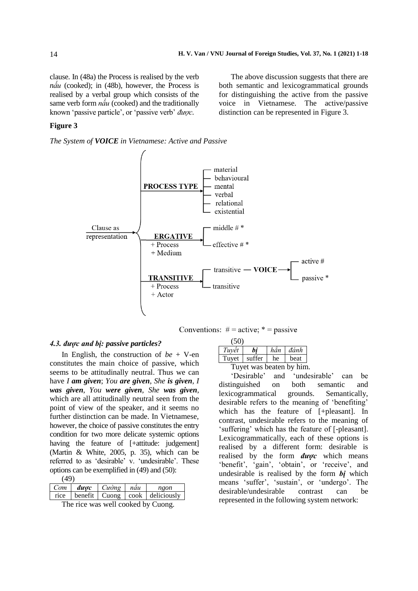The above discussion suggests that there are both semantic and lexicogrammatical grounds for distinguishing the active from the passive voice in Vietnamese. The active/passive distinction can be represented in Figure 3.

clause. In (48a) the Process is realised by the verb *nấu* (cooked); in (48b), however, the Process is realised by a verbal group which consists of the same verb form *nấu* (cooked) and the traditionally known 'passive particle', or 'passive verb' *được.*

#### **Figure 3**

*The System of VOICE in Vietnamese: Active and Passive*





#### *4.3. được and bị: passive particles?*

In English, the construction of *be* + V-en constitutes the main choice of passive, which seems to be attitudinally neutral. Thus we can have *I am given*; *You are given*, *She is given*, *I was given*, *You were given*, *She was given*, which are all attitudinally neutral seen from the point of view of the speaker, and it seems no further distinction can be made. In Vietnamese, however, the choice of passive constitutes the entry condition for two more delicate systemic options having the feature of [+attitude: judgement] (Martin & White, 2005, p. 35), which can be referred to as 'desirable' v. 'undesirable'. These options can be exemplified in (49) and (50):  $(49)$ 

| <b>1 マノノ</b> |                                                |  |                                             |
|--------------|------------------------------------------------|--|---------------------------------------------|
|              | $Com$ <i>duoc</i> $Cur\dot{o}ng$ $n\acute{a}u$ |  | $\vert$ ngon                                |
|              |                                                |  | rice   benefit   Cuong   cook   deliciously |
| $\sim$       |                                                |  |                                             |

The rice was well cooked by Cuong.

| (50)                     |                        |     |      |  |  |
|--------------------------|------------------------|-----|------|--|--|
| Tuyết                    | bi                     | hăn | đánh |  |  |
|                          | Tuyet   suffer $\vert$ | he  | beat |  |  |
| Tuyet was beaten by him. |                        |     |      |  |  |

'Desirable' and 'undesirable' can be distinguished on both semantic and lexicogrammatical grounds. Semantically, desirable refers to the meaning of 'benefiting' which has the feature of [+pleasant]. In contrast, undesirable refers to the meaning of 'suffering' which has the feature of [-pleasant]. Lexicogrammatically, each of these options is realised by a different form: desirable is realised by the form *được* which means 'benefit', 'gain', 'obtain', or 'receive', and undesirable is realised by the form *bị* which means 'suffer', 'sustain', or 'undergo'. The desirable/undesirable contrast can be represented in the following system network: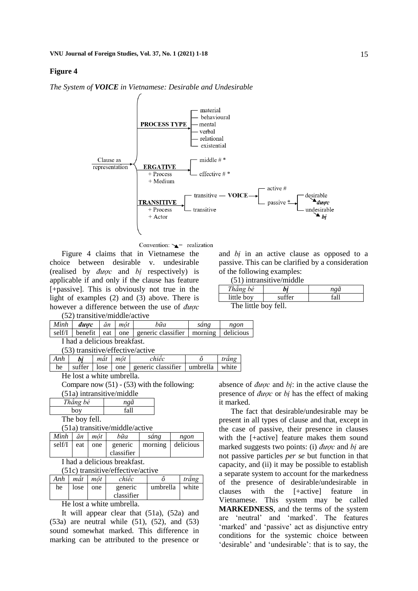#### **Figure 4**

*The System of VOICE in Vietnamese: Desirable and Undesirable*



Convention:  $\sum$  realization

Figure 4 claims that in Vietnamese the choice between desirable v. undesirable (realised by *được* and *bị* respectively) is applicable if and only if the clause has feature [+passive]. This is obviously not true in the light of examples (2) and (3) above. There is however a difference between the use of *được* (52) transitive/middle/active

and *bị* in an active clause as opposed to a passive. This can be clarified by a consideration of the following examples:

|  | $(51)$ intransitive/middle |
|--|----------------------------|

| (91) minamsin'yo muddic |        |      |  |  |  |
|-------------------------|--------|------|--|--|--|
| Thẳng bé                | bi     | ngã  |  |  |  |
| little boy              | suffer | fall |  |  |  |
| The little boy fell.    |        |      |  |  |  |

| Mình                                      | duoc    | ăn   | môt | bữa                           | sáng     | ngon      |
|-------------------------------------------|---------|------|-----|-------------------------------|----------|-----------|
|                                           |         |      |     |                               |          |           |
| self/I                                    | benefit | eat  | one | generic classifier<br>morning |          | delicious |
| I had a delicious breakfast.              |         |      |     |                               |          |           |
| (53) transitive/effective/active          |         |      |     |                               |          |           |
| Anh                                       | bi      | mât  | môt | chiếc                         | ô        | trắng     |
| he                                        | suffer  | lose | one | generic classifier            | umbrella | white     |
| بملائمهما وورود وعارفاتهم والممرار والالا |         |      |     |                               |          |           |

He lost a white umbrella.

Compare now  $(51)$  -  $(53)$  with the following:

| Thẳng bé       | ngã  |
|----------------|------|
| bov            | fa11 |
| 1. $\sim$ . 11 |      |

The boy fell.

(51a) transitive/middle/active

| Mình   | ăn  | $m\hat{o}t$ | bữa                   | sáng | ngon              |
|--------|-----|-------------|-----------------------|------|-------------------|
| self/I | eat | one         | generic<br>classifier |      | morning delicious |

I had a delicious breakfast.

(51c) transitive/effective/active

| Anh | mât  | môt | chiêc      |          | trăng |
|-----|------|-----|------------|----------|-------|
| he  | lose | one | generic    | umbrella | white |
|     |      |     | classifier |          |       |
|     |      |     |            |          |       |

He lost a white umbrella.

It will appear clear that (51a), (52a) and  $(53a)$  are neutral while  $(51)$ ,  $(52)$ , and  $(53)$ sound somewhat marked. This difference in marking can be attributed to the presence or absence of *được* and *bị*: in the active clause the presence of *được* or *bị* has the effect of making it marked.

The fact that desirable/undesirable may be present in all types of clause and that, except in the case of passive, their presence in clauses with the [+active] feature makes them sound marked suggests two points: (i) *được* and *bị* are not passive particles *per se* but function in that capacity, and (ii) it may be possible to establish a separate system to account for the markedness of the presence of desirable/undesirable in clauses with the [+active] feature in Vietnamese. This system may be called **MARKEDNESS**, and the terms of the system are 'neutral' and 'marked'. The features 'marked' and 'passive' act as disjunctive entry conditions for the systemic choice between 'desirable' and 'undesirable': that is to say, the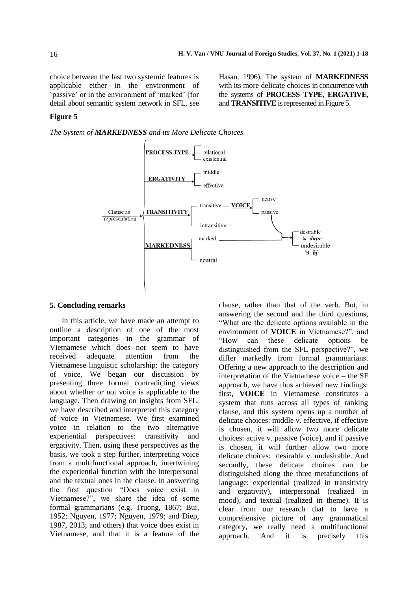Hasan, 1996). The system of **MARKEDNESS** with its more delicate choices in concurrence with the systems of **PROCESS TYPE**, **ERGATIVE**, and **TRANSITIVE** is represented in Figure 5.

choice between the last two systemic features is applicable either in the environment of 'passive' or in the environment of 'marked' (for detail about semantic system network in SFL, see

## **Figure 5**

*The System of MARKEDNESS and its More Delicate Choices*



#### **5. Concluding remarks**

In this article, we have made an attempt to outline a description of one of the most important categories in the grammar of Vietnamese which does not seem to have received adequate attention from the Vietnamese linguistic scholarship: the category of voice. We began our discussion by presenting three formal contradicting views about whether or not voice is applicable to the language. Then drawing on insights from SFL, we have described and interpreted this category of voice in Vietnamese. We first examined voice in relation to the two alternative experiential perspectives: transitivity and ergativity. Then, using these perspectives as the basis, we took a step further, interpreting voice from a multifunctional approach, intertwining the experiential function with the interpersonal and the textual ones in the clause. In answering the first question "Does voice exist in Vietnamese?", we share the idea of some formal grammarians (e.g. Truong, 1867; Bui, 1952; Nguyen, 1977; Nguyen, 1979; and Diep, 1987, 2013; and others) that voice does exist in Vietnamese, and that it is a feature of the

clause, rather than that of the verb. But, in answering the second and the third questions, "What are the delicate options available in the environment of **VOICE** in Vietnamese?", and "How can these delicate options be distinguished from the SFL perspective?", we differ markedly from formal grammarians. Offering a new approach to the description and interpretation of the Vietnamese voice – the SF approach, we have thus achieved new findings: first, **VOICE** in Vietnamese constitutes a system that runs across all types of ranking clause, and this system opens up a number of delicate choices: middle v. effective, if effective is chosen, it will allow two more delicate choices: active v. passive (voice), and if passive is chosen, it will further allow two more delicate choices: desirable v. undesirable. And secondly, these delicate choices can be distinguished along the three metafunctions of language: experiential (realized in transitivity and ergativity), interpersonal (realized in mood), and textual (realized in theme). It is clear from our research that to have a comprehensive picture of any grammatical category, we really need a multifunctional approach. And it is precisely this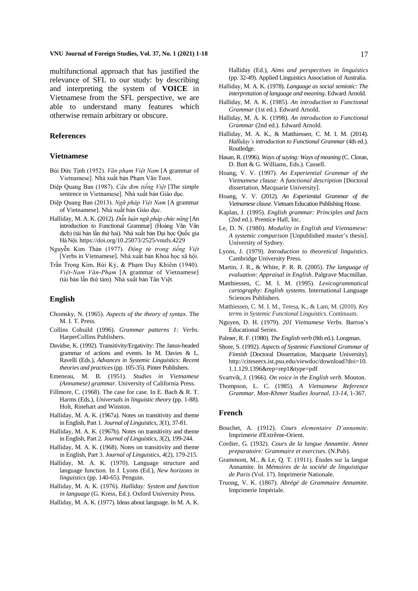#### **VNU Journal of Foreign Studies, Vol. 37, No. 1 (2021) 1-18** 17

multifunctional approach that has justified the relevance of SFL to our study: by describing and interpreting the system of **VOICE** in Vietnamese from the SFL perspective, we are able to understand many features which otherwise remain arbitrary or obscure.

## **References**

#### **Vietnamese**

- Bùi Đức Tịnh (1952). *Văn phạm Việt Nam* [A grammar of Vietnamese]. Nhà xuất bản Phạm Văn Tươi.
- Diệp Quang Ban (1987). *Câu đơn tiếng Việt* [The simple sentence in Vietnamese]. Nhà xuất bản Giáo dục.
- Diệp Quang Ban (2013). *Ngữ pháp Việt Nam* [A grammar of Vietnamese]. Nhà xuất bản Giáo dục.
- Halliday, M. A. K. (2012). *Dẫn luận ngữ pháp chức năng* [An introduction to Functional Grammar] (Hoàng Văn Vân dịch) (tái bản lần thứ hai). Nhà xuất bản Đại học Quốc gia Hà Nội[. https://doi.org/10.25073/2525/vnufs.4229](https://doi.org/10.25073/2525/vnufs.4229)
- Nguyễn Kim Thản (1977). *Động từ trong tiếng Việt* [Verbs in Vietnamese]. Nhà xuất bản Khoa học xã hội.
- Trần Trọng Kim, Bùi Kỷ, & Phạm Duy Khiêm (1940). *Việt-Nam Văn-Phạm* [A grammar of Vietnamese] (tái bản lần thứ tám). Nhà xuất bản Tân Việt.

#### **English**

- Chomsky, N. (1965). *Aspects of the theory of syntax*. The M. I. T. Press.
- Collins Cobuild (1996). *Grammar patterns 1: Verbs*. HarperCollins Publishers.
- Davidse, K. (1992). Transitivity/Ergativity: The Janus-headed grammar of actions and events. In M. Davies & L. Ravelli (Eds.), *Advances in Systemic Linguistics: Recent theories and practices* (pp. 105-35). Pinter Publishers.
- Emeneau, M. B. (1951). *Studies in Vietnamese (Annamese) grammar*. University of California Press.
- Fillmore, C. (1968). The case for case. In E. Bach & R. T. Harms (Eds.), *Universals in linguistic theory* (pp. 1-88). Holt, Rinehart and Winston.
- Halliday, M. A. K. (1967a). Notes on transitivity and theme in English, Part 1. *Journal of Linguistics*, *3*(1), 37-81.
- Halliday, M. A. K. (1967b). Notes on transitivity and theme in English, Part 2. *Journal of Linguistics*, *3*(2), 199-244.
- Halliday, M. A. K. (1968). Notes on transitivity and theme in English, Part 3. *Journal of Linguistics*, *4*(2), 179-215.
- Halliday, M. A. K. (1970). Language structure and language function. In J. Lyons (Ed.), *New horizons in linguistics* (pp. 140-65). Penguin.
- Halliday, M. A. K. (1976). *Halliday: System and function in language* (G. Kress, Ed.). Oxford University Press.
- Halliday, M. A. K. (1977). Ideas about language. In M. A. K.

Halliday (Ed.), *Aims and perspectives in linguistics* (pp. 32-49). Applied Linguistics Association of Australia.

- Halliday, M. A. K. (1978). *Language as social semiotic: The interpretation of language and meaning*. Edward Arnold.
- Halliday, M. A. K. (1985). *An introduction to Functional Grammar* (1st ed.). Edward Arnold.
- Halliday, M. A. K. (1998). *An introduction to Functional Grammar* (2nd ed.). Edward Arnold.
- Halliday, M. A. K., & Matthiessen, C. M. I. M. (2014). *Halliday's introduction to Functional Grammar* (4th ed.)*.*  Routledge.
- Hasan, R. (1996). *Ways of saying: Ways of meaning* (C. Cloran, D. Butt & G. Williams, Eds.). Cassell.
- Hoang, V. V. (1997). *An Experiential Grammar of the Vietnamese clause: A functional description* [Doctoral dissertation, Macquarie University].
- Hoang, V. V. (2012). *An Experiential Grammar of the Vietnamese clause*. Vietnam Education Publishing House.
- Kaplan, J. (1995). *English grammar: Principles and facts* (2nd ed.). Prentice Hall, Inc.
- Le, D. N. (1980). *Modality in English and Vietnamese: A systemic comparison* [Unpublished master's thesis]. University of Sydney.
- Lyons, J. (1979). *Introduction to theoretical linguistics*. Cambridge University Press.
- Martin, J. R., & White, P. R. R. (2005). *The language of evaluation: Appraisal in English*. Palgrave Macmillan.
- Matthiessen, C. M. I. M. (1995). *Lexicogrammatical cartography: English systems*. International Language Sciences Publishers.
- Matthiessen, C. M. I. M., Teresa, K., & Lam, M. (2010). *Key terms in Systemic Functional Linguistics*. Continuum.
- Nguyen, D. H. (1979). *201 Vietnamese Verbs*. Barron's Educational Series.
- Palmer, R. F. (1980). *The English verb* (8th ed.). Longman.
- Shore, S. (1992). *Aspects of Systemic Functional Grammar of Finnish* [Doctoral Dissertation, Macquarie University]. http://citeseerx.ist.psu.edu/viewdoc/download?doi=10. 1.1.129.1396&rep=rep1&type=pdf
- Svartvik, J. (1966). *On voice in the English verb*. Mouton.
- Thompson, L. C. (1985). *A Vietnamese Reference Grammar*. *Mon-Khmer Studies Journal, 13-14*, 1-367.

#### **French**

- Bouchet, A. (1912). *Cours elementaire D'annamite*. Imprimerie d'Extrême-Orient.
- Cordier, G. (1932). *Cours de la langue Annamite*. *Annee preparatoire: Grammaire et exercises*. (N.Pub).
- Grammont, M., & Le, Q. T. (1911). Études sur la langue Annamite. In *Mémoires de la société de linguistique de Paris* (Vol. 17). Imprimerie Nationale.
- Truong, V. K. (1867). *Abrégé de Grammaire Annamite*. Imprimerie Impériale.